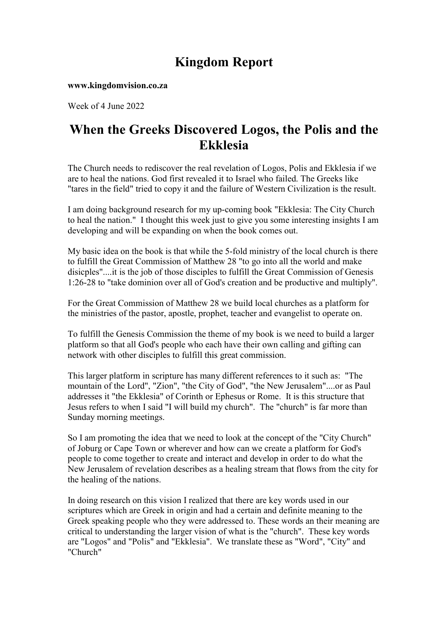# Kingdom Report

www.kingdomvision.co.za

Week of 4 June 2022

## When the Greeks Discovered Logos, the Polis and the Ekklesia

The Church needs to rediscover the real revelation of Logos, Polis and Ekklesia if we are to heal the nations. God first revealed it to Israel who failed. The Greeks like "tares in the field" tried to copy it and the failure of Western Civilization is the result.

I am doing background research for my up-coming book "Ekklesia: The City Church to heal the nation." I thought this week just to give you some interesting insights I am developing and will be expanding on when the book comes out.

My basic idea on the book is that while the 5-fold ministry of the local church is there to fulfill the Great Commission of Matthew 28 "to go into all the world and make disicples"....it is the job of those disciples to fulfill the Great Commission of Genesis 1:26-28 to "take dominion over all of God's creation and be productive and multiply".

For the Great Commission of Matthew 28 we build local churches as a platform for the ministries of the pastor, apostle, prophet, teacher and evangelist to operate on.

To fulfill the Genesis Commission the theme of my book is we need to build a larger platform so that all God's people who each have their own calling and gifting can network with other disciples to fulfill this great commission.

This larger platform in scripture has many different references to it such as: "The mountain of the Lord", "Zion", "the City of God", "the New Jerusalem"....or as Paul addresses it "the Ekklesia" of Corinth or Ephesus or Rome. It is this structure that Jesus refers to when I said "I will build my church". The "church" is far more than Sunday morning meetings.

So I am promoting the idea that we need to look at the concept of the "City Church" of Joburg or Cape Town or wherever and how can we create a platform for God's people to come together to create and interact and develop in order to do what the New Jerusalem of revelation describes as a healing stream that flows from the city for the healing of the nations.

In doing research on this vision I realized that there are key words used in our scriptures which are Greek in origin and had a certain and definite meaning to the Greek speaking people who they were addressed to. These words an their meaning are critical to understanding the larger vision of what is the "church". These key words are "Logos" and "Polis" and "Ekklesia". We translate these as "Word", "City" and "Church"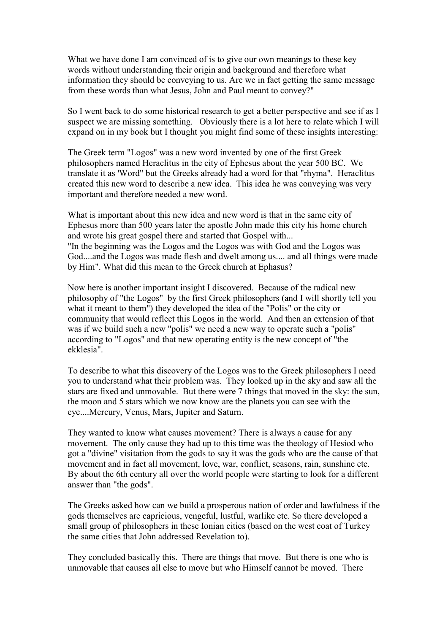What we have done I am convinced of is to give our own meanings to these key words without understanding their origin and background and therefore what information they should be conveying to us. Are we in fact getting the same message from these words than what Jesus, John and Paul meant to convey?"

So I went back to do some historical research to get a better perspective and see if as I suspect we are missing something. Obviously there is a lot here to relate which I will expand on in my book but I thought you might find some of these insights interesting:

The Greek term "Logos" was a new word invented by one of the first Greek philosophers named Heraclitus in the city of Ephesus about the year 500 BC. We translate it as 'Word" but the Greeks already had a word for that "rhyma". Heraclitus created this new word to describe a new idea. This idea he was conveying was very important and therefore needed a new word.

What is important about this new idea and new word is that in the same city of Ephesus more than 500 years later the apostle John made this city his home church and wrote his great gospel there and started that Gospel with... "In the beginning was the Logos and the Logos was with God and the Logos was God....and the Logos was made flesh and dwelt among us.... and all things were made by Him". What did this mean to the Greek church at Ephasus?

Now here is another important insight I discovered. Because of the radical new philosophy of "the Logos" by the first Greek philosophers (and I will shortly tell you what it meant to them") they developed the idea of the "Polis" or the city or community that would reflect this Logos in the world. And then an extension of that was if we build such a new "polis" we need a new way to operate such a "polis" according to "Logos" and that new operating entity is the new concept of "the ekklesia".

To describe to what this discovery of the Logos was to the Greek philosophers I need you to understand what their problem was. They looked up in the sky and saw all the stars are fixed and unmovable. But there were 7 things that moved in the sky: the sun, the moon and 5 stars which we now know are the planets you can see with the eye....Mercury, Venus, Mars, Jupiter and Saturn.

They wanted to know what causes movement? There is always a cause for any movement. The only cause they had up to this time was the theology of Hesiod who got a "divine" visitation from the gods to say it was the gods who are the cause of that movement and in fact all movement, love, war, conflict, seasons, rain, sunshine etc. By about the 6th century all over the world people were starting to look for a different answer than "the gods".

The Greeks asked how can we build a prosperous nation of order and lawfulness if the gods themselves are capricious, vengeful, lustful, warlike etc. So there developed a small group of philosophers in these Ionian cities (based on the west coat of Turkey the same cities that John addressed Revelation to).

They concluded basically this. There are things that move. But there is one who is unmovable that causes all else to move but who Himself cannot be moved. There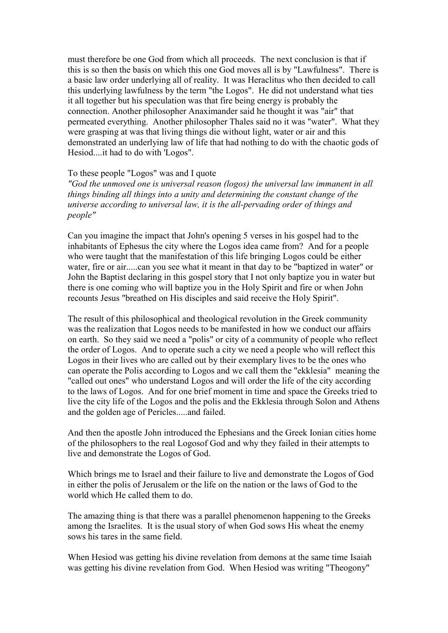must therefore be one God from which all proceeds. The next conclusion is that if this is so then the basis on which this one God moves all is by "Lawfulness". There is a basic law order underlying all of reality. It was Heraclitus who then decided to call this underlying lawfulness by the term "the Logos". He did not understand what ties it all together but his speculation was that fire being energy is probably the connection. Another philosopher Anaximander said he thought it was "air" that permeated everything. Another philosopher Thales said no it was "water". What they were grasping at was that living things die without light, water or air and this demonstrated an underlying law of life that had nothing to do with the chaotic gods of Hesiod....it had to do with 'Logos".

#### To these people "Logos" was and I quote

"God the unmoved one is universal reason (logos) the universal law immanent in all things binding all things into a unity and determining the constant change of the universe according to universal law, it is the all-pervading order of things and people"

Can you imagine the impact that John's opening 5 verses in his gospel had to the inhabitants of Ephesus the city where the Logos idea came from? And for a people who were taught that the manifestation of this life bringing Logos could be either water, fire or air.....can you see what it meant in that day to be "baptized in water" or John the Baptist declaring in this gospel story that I not only baptize you in water but there is one coming who will baptize you in the Holy Spirit and fire or when John recounts Jesus "breathed on His disciples and said receive the Holy Spirit".

The result of this philosophical and theological revolution in the Greek community was the realization that Logos needs to be manifested in how we conduct our affairs on earth. So they said we need a "polis" or city of a community of people who reflect the order of Logos. And to operate such a city we need a people who will reflect this Logos in their lives who are called out by their exemplary lives to be the ones who can operate the Polis according to Logos and we call them the "ekklesia" meaning the "called out ones" who understand Logos and will order the life of the city according to the laws of Logos. And for one brief moment in time and space the Greeks tried to live the city life of the Logos and the polis and the Ekklesia through Solon and Athens and the golden age of Pericles.....and failed.

And then the apostle John introduced the Ephesians and the Greek Ionian cities home of the philosophers to the real Logosof God and why they failed in their attempts to live and demonstrate the Logos of God.

Which brings me to Israel and their failure to live and demonstrate the Logos of God in either the polis of Jerusalem or the life on the nation or the laws of God to the world which He called them to do.

The amazing thing is that there was a parallel phenomenon happening to the Greeks among the Israelites. It is the usual story of when God sows His wheat the enemy sows his tares in the same field.

When Hesiod was getting his divine revelation from demons at the same time Isaiah was getting his divine revelation from God. When Hesiod was writing "Theogony"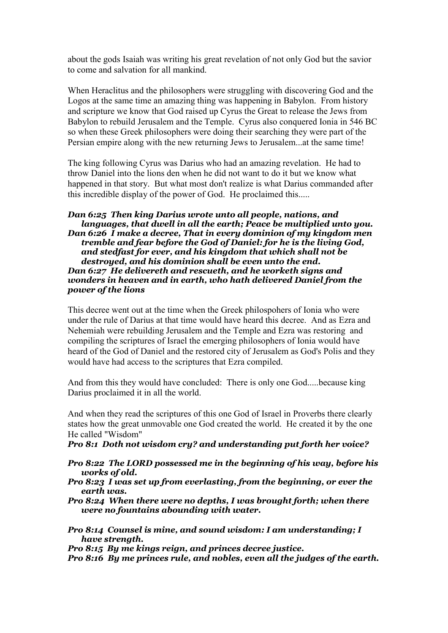about the gods Isaiah was writing his great revelation of not only God but the savior to come and salvation for all mankind.

When Heraclitus and the philosophers were struggling with discovering God and the Logos at the same time an amazing thing was happening in Babylon. From history and scripture we know that God raised up Cyrus the Great to release the Jews from Babylon to rebuild Jerusalem and the Temple. Cyrus also conquered Ionia in 546 BC so when these Greek philosophers were doing their searching they were part of the Persian empire along with the new returning Jews to Jerusalem...at the same time!

The king following Cyrus was Darius who had an amazing revelation. He had to throw Daniel into the lions den when he did not want to do it but we know what happened in that story. But what most don't realize is what Darius commanded after this incredible display of the power of God. He proclaimed this.....

#### Dan 6:25 Then king Darius wrote unto all people, nations, and languages, that dwell in all the earth; Peace be multiplied unto you. Dan 6:26 I make a decree, That in every dominion of my kingdom men tremble and fear before the God of Daniel: for he is the living God, and stedfast for ever, and his kingdom that which shall not be destroyed, and his dominion shall be even unto the end. Dan 6:27 He delivereth and rescueth, and he worketh signs and wonders in heaven and in earth, who hath delivered Daniel from the power of the lions

This decree went out at the time when the Greek philospohers of Ionia who were under the rule of Darius at that time would have heard this decree. And as Ezra and Nehemiah were rebuilding Jerusalem and the Temple and Ezra was restoring and compiling the scriptures of Israel the emerging philosophers of Ionia would have heard of the God of Daniel and the restored city of Jerusalem as God's Polis and they would have had access to the scriptures that Ezra compiled.

And from this they would have concluded: There is only one God.....because king Darius proclaimed it in all the world.

And when they read the scriptures of this one God of Israel in Proverbs there clearly states how the great unmovable one God created the world. He created it by the one He called "Wisdom"

Pro 8:1 Doth not wisdom cry? and understanding put forth her voice?

- Pro 8:22 The LORD possessed me in the beginning of his way, before his works of old.
- Pro 8:23 I was set up from everlasting, from the beginning, or ever the earth was.
- Pro 8:24 When there were no depths, I was brought forth; when there were no fountains abounding with water.
- Pro 8:14 Counsel is mine, and sound wisdom: I am understanding; I have strength.

Pro 8:15 By me kings reign, and princes decree justice.

Pro 8:16 By me princes rule, and nobles, even all the judges of the earth.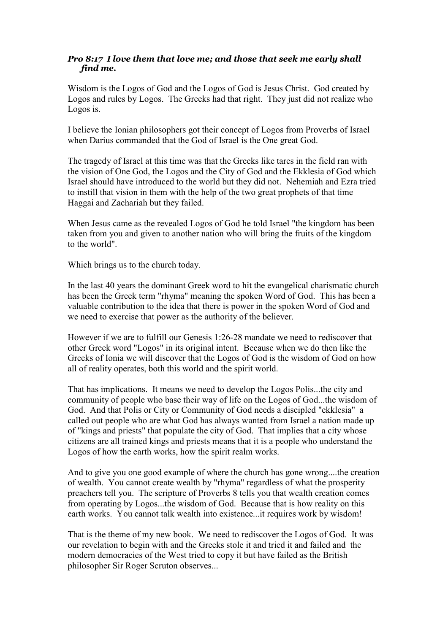## Pro 8:17 I love them that love me; and those that seek me early shall find me.

Wisdom is the Logos of God and the Logos of God is Jesus Christ. God created by Logos and rules by Logos. The Greeks had that right. They just did not realize who Logos is.

I believe the Ionian philosophers got their concept of Logos from Proverbs of Israel when Darius commanded that the God of Israel is the One great God.

The tragedy of Israel at this time was that the Greeks like tares in the field ran with the vision of One God, the Logos and the City of God and the Ekklesia of God which Israel should have introduced to the world but they did not. Nehemiah and Ezra tried to instill that vision in them with the help of the two great prophets of that time Haggai and Zachariah but they failed.

When Jesus came as the revealed Logos of God he told Israel "the kingdom has been taken from you and given to another nation who will bring the fruits of the kingdom to the world".

Which brings us to the church today.

In the last 40 years the dominant Greek word to hit the evangelical charismatic church has been the Greek term "rhyma" meaning the spoken Word of God. This has been a valuable contribution to the idea that there is power in the spoken Word of God and we need to exercise that power as the authority of the believer.

However if we are to fulfill our Genesis 1:26-28 mandate we need to rediscover that other Greek word "Logos" in its original intent. Because when we do then like the Greeks of Ionia we will discover that the Logos of God is the wisdom of God on how all of reality operates, both this world and the spirit world.

That has implications. It means we need to develop the Logos Polis...the city and community of people who base their way of life on the Logos of God...the wisdom of God. And that Polis or City or Community of God needs a discipled "ekklesia" a called out people who are what God has always wanted from Israel a nation made up of "kings and priests" that populate the city of God. That implies that a city whose citizens are all trained kings and priests means that it is a people who understand the Logos of how the earth works, how the spirit realm works.

And to give you one good example of where the church has gone wrong....the creation of wealth. You cannot create wealth by "rhyma" regardless of what the prosperity preachers tell you. The scripture of Proverbs 8 tells you that wealth creation comes from operating by Logos...the wisdom of God. Because that is how reality on this earth works. You cannot talk wealth into existence...it requires work by wisdom!

That is the theme of my new book. We need to rediscover the Logos of God. It was our revelation to begin with and the Greeks stole it and tried it and failed and the modern democracies of the West tried to copy it but have failed as the British philosopher Sir Roger Scruton observes...